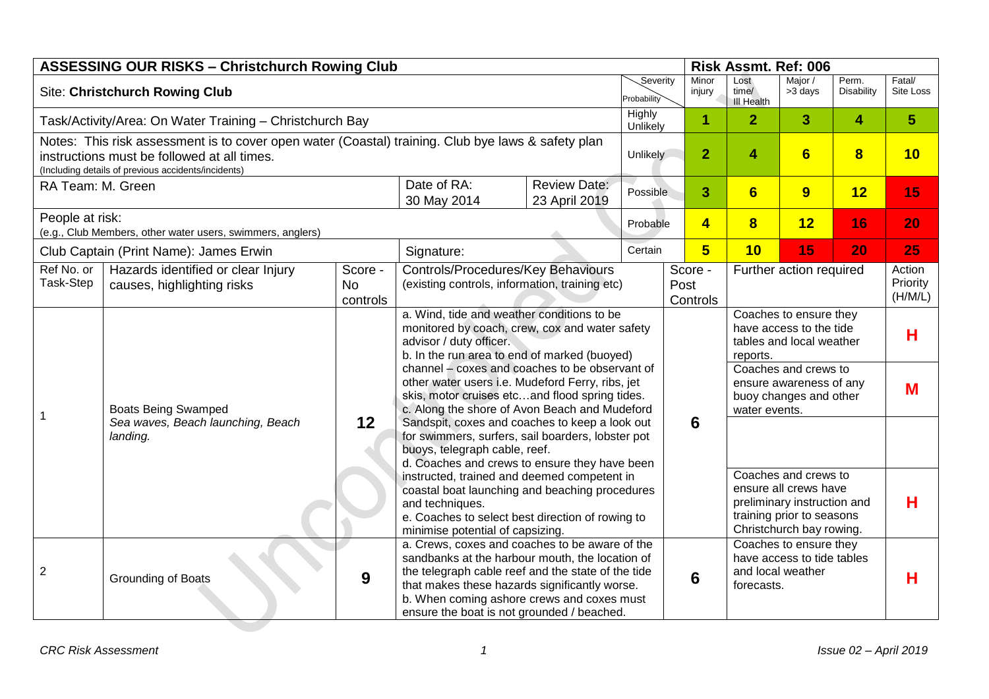|                                                                               | <b>ASSESSING OUR RISKS - Christchurch Rowing Club</b>                                                                                                                                                    |                                                                                                                                            |                                                                                                                                                                                                                                                                                                                                                                                  |                                      | Severity       |                         |                                                                                                                                       |                                                                                            | Risk Assmt. Ref: 006 |                               |                     |
|-------------------------------------------------------------------------------|----------------------------------------------------------------------------------------------------------------------------------------------------------------------------------------------------------|--------------------------------------------------------------------------------------------------------------------------------------------|----------------------------------------------------------------------------------------------------------------------------------------------------------------------------------------------------------------------------------------------------------------------------------------------------------------------------------------------------------------------------------|--------------------------------------|----------------|-------------------------|---------------------------------------------------------------------------------------------------------------------------------------|--------------------------------------------------------------------------------------------|----------------------|-------------------------------|---------------------|
| <b>Site: Christchurch Rowing Club</b>                                         |                                                                                                                                                                                                          |                                                                                                                                            |                                                                                                                                                                                                                                                                                                                                                                                  |                                      |                |                         | Minor<br>injury                                                                                                                       | Lost<br>time/<br><b>III Health</b>                                                         | Major /<br>>3 days   | Perm.<br>Disability           | Fatal/<br>Site Loss |
| Task/Activity/Area: On Water Training - Christchurch Bay                      |                                                                                                                                                                                                          |                                                                                                                                            |                                                                                                                                                                                                                                                                                                                                                                                  |                                      |                | Unlikely                | 1                                                                                                                                     | $\overline{2}$                                                                             | 3 <sup>1</sup>       | 4                             | $5\phantom{1}$      |
|                                                                               | Notes: This risk assessment is to cover open water (Coastal) training. Club bye laws & safety plan<br>instructions must be followed at all times.<br>(Including details of previous accidents/incidents) | Unlikely                                                                                                                                   |                                                                                                                                                                                                                                                                                                                                                                                  |                                      | $\overline{2}$ | $\overline{\mathbf{4}}$ | $6\phantom{1}$                                                                                                                        | $\overline{\mathbf{8}}$                                                                    | 10                   |                               |                     |
| RA Team: M. Green                                                             |                                                                                                                                                                                                          |                                                                                                                                            | Date of RA:<br>30 May 2014                                                                                                                                                                                                                                                                                                                                                       | <b>Review Date:</b><br>23 April 2019 |                | 3<br>Possible           |                                                                                                                                       | $6\phantom{1}6$                                                                            | 9                    | 12                            | 15                  |
| People at risk:<br>(e.g., Club Members, other water users, swimmers, anglers) |                                                                                                                                                                                                          |                                                                                                                                            | Probable                                                                                                                                                                                                                                                                                                                                                                         |                                      |                | $\overline{\mathbf{4}}$ | $\overline{\mathbf{8}}$                                                                                                               | 12                                                                                         | 16                   | 20                            |                     |
|                                                                               | Club Captain (Print Name): James Erwin                                                                                                                                                                   |                                                                                                                                            | Signature:                                                                                                                                                                                                                                                                                                                                                                       |                                      | Certain        |                         | $5\overline{)}$                                                                                                                       | 10                                                                                         | 15                   | 20                            | 25                  |
| Ref No. or<br>Task-Step                                                       | Hazards identified or clear Injury<br>causes, highlighting risks                                                                                                                                         | Score -<br><b>No</b><br>controls                                                                                                           | Controls/Procedures/Key Behaviours<br>(existing controls, information, training etc)                                                                                                                                                                                                                                                                                             |                                      |                |                         | Score -<br>Post<br>Controls                                                                                                           | Further action required                                                                    |                      | Action<br>Priority<br>(H/M/L) |                     |
|                                                                               | <b>Boats Being Swamped</b><br>Sea waves, Beach launching, Beach<br>landing.                                                                                                                              |                                                                                                                                            | a. Wind, tide and weather conditions to be<br>monitored by coach, crew, cox and water safety<br>advisor / duty officer.<br>b. In the run area to end of marked (buoyed)<br>channel - coxes and coaches to be observant of<br>other water users i.e. Mudeford Ferry, ribs, jet<br>skis, motor cruises etcand flood spring tides.<br>c. Along the shore of Avon Beach and Mudeford |                                      |                |                         |                                                                                                                                       | Coaches to ensure they<br>have access to the tide<br>tables and local weather<br>reports.  |                      | H                             |                     |
| 1                                                                             |                                                                                                                                                                                                          |                                                                                                                                            |                                                                                                                                                                                                                                                                                                                                                                                  |                                      |                |                         |                                                                                                                                       | Coaches and crews to<br>ensure awareness of any<br>buoy changes and other<br>water events. |                      | M                             |                     |
|                                                                               |                                                                                                                                                                                                          | 12<br>Sandspit, coxes and coaches to keep a look out<br>for swimmers, surfers, sail boarders, lobster pot<br>buoys, telegraph cable, reef. |                                                                                                                                                                                                                                                                                                                                                                                  |                                      |                |                         | 6                                                                                                                                     |                                                                                            |                      |                               |                     |
|                                                                               |                                                                                                                                                                                                          |                                                                                                                                            | d. Coaches and crews to ensure they have been<br>instructed, trained and deemed competent in<br>coastal boat launching and beaching procedures<br>and techniques.<br>e. Coaches to select best direction of rowing to<br>minimise potential of capsizing.                                                                                                                        |                                      |                |                         | Coaches and crews to<br>ensure all crews have<br>preliminary instruction and<br>training prior to seasons<br>Christchurch bay rowing. | н                                                                                          |                      |                               |                     |
| $\overline{2}$                                                                | Grounding of Boats                                                                                                                                                                                       | 9                                                                                                                                          | a. Crews, coxes and coaches to be aware of the<br>sandbanks at the harbour mouth, the location of<br>the telegraph cable reef and the state of the tide<br>that makes these hazards significantly worse.<br>b. When coming ashore crews and coxes must<br>ensure the boat is not grounded / beached.                                                                             |                                      |                |                         | $6\phantom{1}6$                                                                                                                       | Coaches to ensure they<br>have access to tide tables<br>and local weather<br>forecasts.    |                      |                               | Н                   |